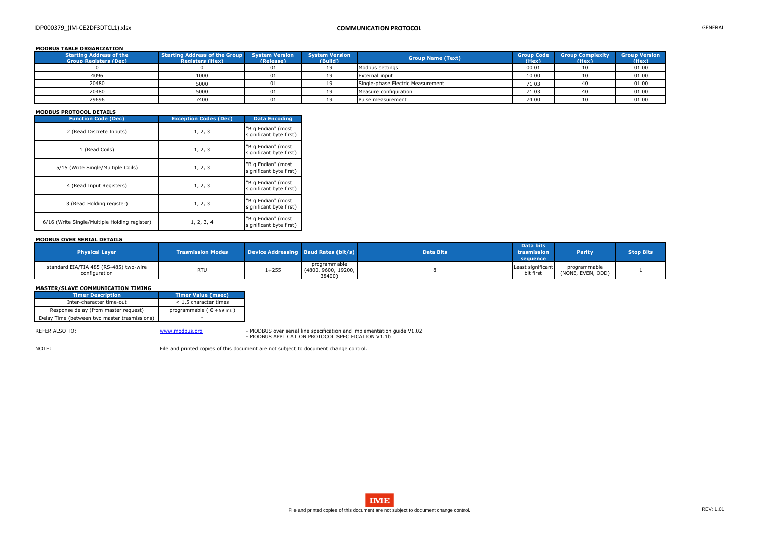# IDP000379\_(IM-CE2DF3DTCL1).xlsx **COMMUNICATION PROTOCOL** GENERAL

## **MODBUS TABLE ORGANIZATION**

| <b>Starting Address of the</b><br><b>Group Registers (Dec)</b> | Starting Address of the Group System Version<br><b>Registers (Hex)</b> | (Release) | <b>System Version</b><br>(Build) | <b>Group Name (Text)</b>          | <b>Group Code</b><br>(Hex) | <b>Group Complexity</b><br>(Hex) | <b>Group Version</b><br>(Hex) |
|----------------------------------------------------------------|------------------------------------------------------------------------|-----------|----------------------------------|-----------------------------------|----------------------------|----------------------------------|-------------------------------|
|                                                                |                                                                        | 01        |                                  | Modbus settings                   | 00 01                      |                                  | 01 00                         |
| 4096                                                           | 1000                                                                   | 01        |                                  | <b>External input</b>             | 10 00                      |                                  | 01 00                         |
| 20480                                                          | 5000                                                                   | 01        |                                  | Single-phase Electric Measurement | 71 03                      |                                  | 01 00                         |
| 20480                                                          | 5000                                                                   | 01        |                                  | Measure configuration             | 71 03                      |                                  | 01 00                         |
| 29696                                                          | 7400                                                                   | 01        |                                  | Pulse measurement                 | 74 00                      |                                  | 01 00                         |

## **MODBUS PROTOCOL DETAILS**

| <b>Function Code (Dec)</b>                    | <b>Exception Codes (Dec)</b> | <b>Data Encoding</b>                          |
|-----------------------------------------------|------------------------------|-----------------------------------------------|
| 2 (Read Discrete Inputs)                      | 1, 2, 3                      | "Big Endian" (most<br>significant byte first) |
| 1 (Read Coils)                                | 1, 2, 3                      | "Big Endian" (most<br>significant byte first) |
| 5/15 (Write Single/Multiple Coils)            | 1, 2, 3                      | "Big Endian" (most<br>significant byte first) |
| 4 (Read Input Registers)                      | 1, 2, 3                      | "Big Endian" (most<br>significant byte first) |
| 3 (Read Holding register)                     | 1, 2, 3                      | "Big Endian" (most<br>significant byte first) |
| 6/16 (Write Single/Multiple Holding register) | 1, 2, 3, 4                   | "Big Endian" (most<br>significant byte first) |

REFER ALSO TO: Noting the Superinten of the Wave William of Mondo and implementation guide V1.02 - MODBUS APPLICATION PROTOCOL SPECIFICATION V1.1b

NOTE: File and printed copies of this document are not subject to document change control.



## **MODBUS OVER SERIAL DETAILS**

| <b>Physical Layer</b>                                   | <b>Trasmission Modes</b> |              | Device Addressing Baud Rates (bit/s)          | <b>Data Bits</b> | <b>Data bits</b><br>trasmission<br>sequence | <b>Parity</b>                     | <b>Stop Bits</b> |
|---------------------------------------------------------|--------------------------|--------------|-----------------------------------------------|------------------|---------------------------------------------|-----------------------------------|------------------|
| standard EIA/TIA 485 (RS-485) two-wire<br>configuration | <b>RTU</b>               | $1 \div 255$ | programmable<br>(4800, 9600, 19200,<br>38400) |                  | Least significant<br>bit first              | programmable<br>(NONE, EVEN, ODD) |                  |

### **MASTER/SLAVE COMMUNICATION TIMING**

| Timer Description                            | Timer Value (msec)             |
|----------------------------------------------|--------------------------------|
| Inter-character time-out                     | $<$ 1,5 character times        |
| Response delay (from master request)         | programmable ( $0 \div 99$ ms) |
| Delay Time (between two master trasmissions) |                                |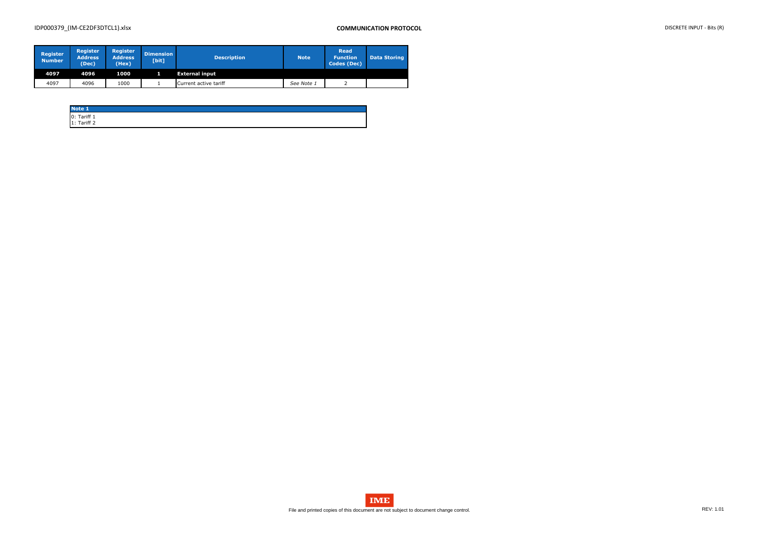# IDP000379\_(IM-CE2DF3DTCL1).xlsx **COMMUNICATION PROTOCOL** DISCRETE INPUT - Bits (R)

| <b>Register</b><br><b>Number</b> | <b>Register</b><br><b>Address</b><br>(Dec) | <b>Register</b><br><b>Address</b><br>(Hex) | <b>Dimension</b><br>[bit] | <b>Description</b>    | <b>Note</b> | <b>Read</b><br><b>Function</b><br><b>Codes (Dec)</b> | <b>Data Storing</b> |
|----------------------------------|--------------------------------------------|--------------------------------------------|---------------------------|-----------------------|-------------|------------------------------------------------------|---------------------|
| 4097                             | 4096                                       | 1000                                       |                           | <b>External input</b> |             |                                                      |                     |
| 4097                             | 4096                                       | 1000                                       |                           | Current active tariff | See Note 1  |                                                      |                     |

| Note 1                       |  |  |
|------------------------------|--|--|
|                              |  |  |
| $0:$ Tariff 1<br>1: Tariff 2 |  |  |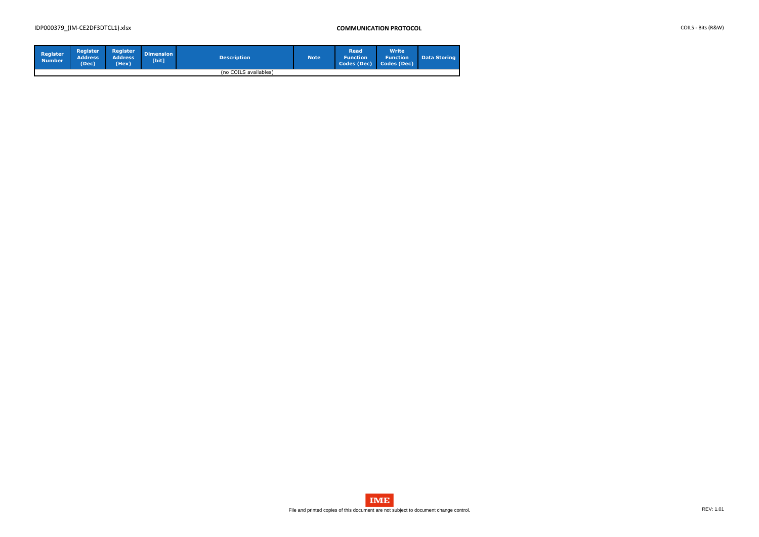# IDP000379\_(IM-CE2DF3DTCL1).xlsx **COMMUNICATION PROTOCOL** COILS - Bits (R&W)

| <b>Register</b><br><b>Number</b> | <b>Register</b><br><b>Address</b><br>(Dec) | Register<br>Address'<br>(Hex) | <b>Dimension</b><br>[bit] | <b>Description</b>    | <b>Note</b> | <b>Read</b><br><b>N</b> Function<br>Codes (Dec) | <b>Write</b><br><b>Function</b><br>Codes (Dec) | <b>Data Storing</b> |
|----------------------------------|--------------------------------------------|-------------------------------|---------------------------|-----------------------|-------------|-------------------------------------------------|------------------------------------------------|---------------------|
|                                  |                                            |                               |                           | (no COILS availables) |             |                                                 |                                                |                     |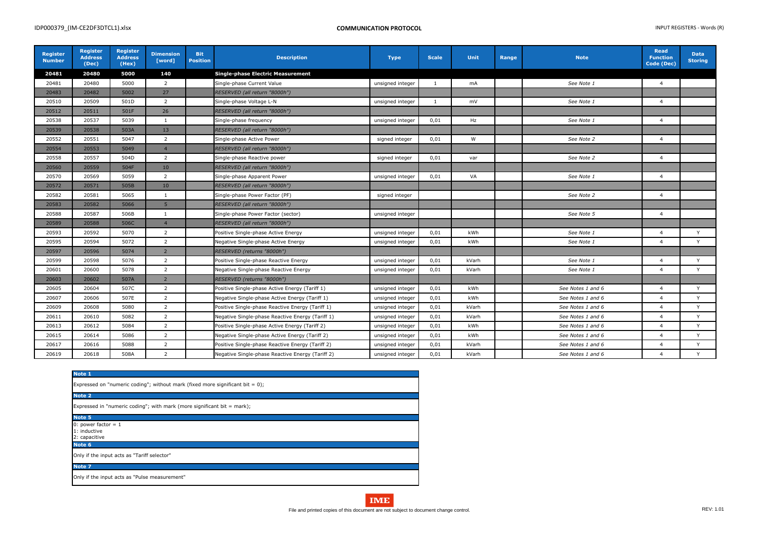| Register<br><b>Number</b> | <b>Register</b><br><b>Address</b><br>(Dec) | <b>Register</b><br><b>Address</b><br>(Hex) | <b>Dimension</b><br>[word] | <b>Bit</b><br><b>Position</b> | <b>Description</b>                               | <b>Type</b>      | <b>Scale</b> | <b>Unit</b> | Range | <b>Note</b>       | <b>Read</b><br><b>Function</b><br>Code (Dec) | <b>Data</b><br><b>Storing</b> |
|---------------------------|--------------------------------------------|--------------------------------------------|----------------------------|-------------------------------|--------------------------------------------------|------------------|--------------|-------------|-------|-------------------|----------------------------------------------|-------------------------------|
| 20481                     | 20480                                      | 5000                                       | 140                        |                               | <b>Single-phase Electric Measurement</b>         |                  |              |             |       |                   |                                              |                               |
| 20481                     | 20480                                      | 5000                                       | $\overline{2}$             |                               | Single-phase Current Value                       | unsigned integer | 1            | mA          |       | See Note 1        | $\overline{4}$                               |                               |
| 20483                     | 20482                                      | 5002                                       | 27                         |                               | RESERVED (all return "8000h")                    |                  |              |             |       |                   |                                              |                               |
| 20510                     | 20509                                      | 501D                                       | $\overline{2}$             |                               | Single-phase Voltage L-N                         | unsigned integer | -1           | mV          |       | See Note 1        | $\overline{4}$                               |                               |
| 20512                     | 20511                                      | 501F                                       | 26                         |                               | RESERVED (all return "8000h")                    |                  |              |             |       |                   |                                              |                               |
| 20538                     | 20537                                      | 5039                                       | 1                          |                               | Single-phase frequency                           | unsigned integer | 0,01         | Hz          |       | See Note 1        | $\overline{4}$                               |                               |
| 20539                     | 20538                                      | 503A                                       | 13                         |                               | RESERVED (all return "8000h")                    |                  |              |             |       |                   |                                              |                               |
| 20552                     | 20551                                      | 5047                                       | 2                          |                               | Single-phase Active Power                        | signed integer   | 0,01         | W           |       | See Note 2        | $\overline{4}$                               |                               |
| 20554                     | 20553                                      | 5049                                       | $\overline{4}$             |                               | RESERVED (all return "8000h")                    |                  |              |             |       |                   |                                              |                               |
| 20558                     | 20557                                      | 504D                                       | $\overline{2}$             |                               | Single-phase Reactive power                      | signed integer   | 0,01         | var         |       | See Note 2        | $\overline{4}$                               |                               |
| 20560                     | 20559                                      | 504F                                       | 10                         |                               | RESERVED (all return "8000h")                    |                  |              |             |       |                   |                                              |                               |
| 20570                     | 20569                                      | 5059                                       | $\overline{2}$             |                               | Single-phase Apparent Power                      | unsigned integer | 0,01         | VA          |       | See Note 1        | $\overline{4}$                               |                               |
| 20572                     | 20571                                      | 505B                                       | 10 <sup>°</sup>            |                               | RESERVED (all return "8000h")                    |                  |              |             |       |                   |                                              |                               |
| 20582                     | 20581                                      | 5065                                       | 1                          |                               | Single-phase Power Factor (PF)                   | signed integer   |              |             |       | See Note 2        | $\overline{4}$                               |                               |
| 20583                     | 20582                                      | 5066                                       | $5\phantom{.0}$            |                               | RESERVED (all return "8000h")                    |                  |              |             |       |                   |                                              |                               |
| 20588                     | 20587                                      | 506B                                       | $\mathbf{1}$               |                               | Single-phase Power Factor (sector)               | unsigned integer |              |             |       | See Note 5        | $\overline{4}$                               |                               |
| 20589                     | 20588                                      | 506C                                       | $\overline{4}$             |                               | RESERVED (all return "8000h")                    |                  |              |             |       |                   |                                              |                               |
| 20593                     | 20592                                      | 5070                                       | $\overline{2}$             |                               | Positive Single-phase Active Energy              | unsigned integer | 0,01         | kWh         |       | See Note 1        | $\overline{4}$                               | Y                             |
| 20595                     | 20594                                      | 5072                                       | $\overline{2}$             |                               | Negative Single-phase Active Energy              | unsigned integer | 0,01         | kWh         |       | See Note 1        | $\overline{4}$                               | Y                             |
| 20597                     | 20596                                      | 5074                                       | $\overline{2}$             |                               | RESERVED (returns "8000h")                       |                  |              |             |       |                   |                                              |                               |
| 20599                     | 20598                                      | 5076                                       | $\overline{2}$             |                               | Positive Single-phase Reactive Energy            | unsigned integer | 0,01         | kVarh       |       | See Note 1        | $\overline{4}$                               | Y                             |
| 20601                     | 20600                                      | 5078                                       | $\overline{2}$             |                               | Negative Single-phase Reactive Energy            | unsigned integer | 0,01         | kVarh       |       | See Note 1        | $\overline{4}$                               | Y                             |
| 20603                     | 20602                                      | 507A                                       | $\overline{2}$             |                               | RESERVED (returns "8000h")                       |                  |              |             |       |                   |                                              |                               |
| 20605                     | 20604                                      | 507C                                       | $\overline{2}$             |                               | Positive Single-phase Active Energy (Tariff 1)   | unsigned integer | 0,01         | kWh         |       | See Notes 1 and 6 | $\overline{4}$                               | Y                             |
| 20607                     | 20606                                      | 507E                                       | $\overline{2}$             |                               | Negative Single-phase Active Energy (Tariff 1)   | unsigned integer | 0,01         | kWh         |       | See Notes 1 and 6 | $\overline{4}$                               | Y                             |
| 20609                     | 20608                                      | 5080                                       | $\overline{2}$             |                               | Positive Single-phase Reactive Energy (Tariff 1) | unsigned integer | 0,01         | kVarh       |       | See Notes 1 and 6 | $\overline{a}$                               | Y                             |
| 20611                     | 20610                                      | 5082                                       | $\overline{2}$             |                               | Negative Single-phase Reactive Energy (Tariff 1) | unsigned integer | 0,01         | kVarh       |       | See Notes 1 and 6 | $\overline{4}$                               | Y                             |
| 20613                     | 20612                                      | 5084                                       | $\overline{2}$             |                               | Positive Single-phase Active Energy (Tariff 2)   | unsigned integer | 0,01         | kWh         |       | See Notes 1 and 6 | $\overline{4}$                               | Y                             |
| 20615                     | 20614                                      | 5086                                       | $\overline{2}$             |                               | Negative Single-phase Active Energy (Tariff 2)   | unsigned integer | 0,01         | kWh         |       | See Notes 1 and 6 | $\overline{4}$                               | Y                             |
| 20617                     | 20616                                      | 5088                                       | $\overline{2}$             |                               | Positive Single-phase Reactive Energy (Tariff 2) | unsigned integer | 0,01         | kVarh       |       | See Notes 1 and 6 | $\overline{4}$                               | Y                             |
| 20619                     | 20618                                      | 508A                                       | $\overline{2}$             |                               | Negative Single-phase Reactive Energy (Tariff 2) | unsigned integer | 0,01         | kVarh       |       | See Notes 1 and 6 | $\overline{a}$                               | Y                             |

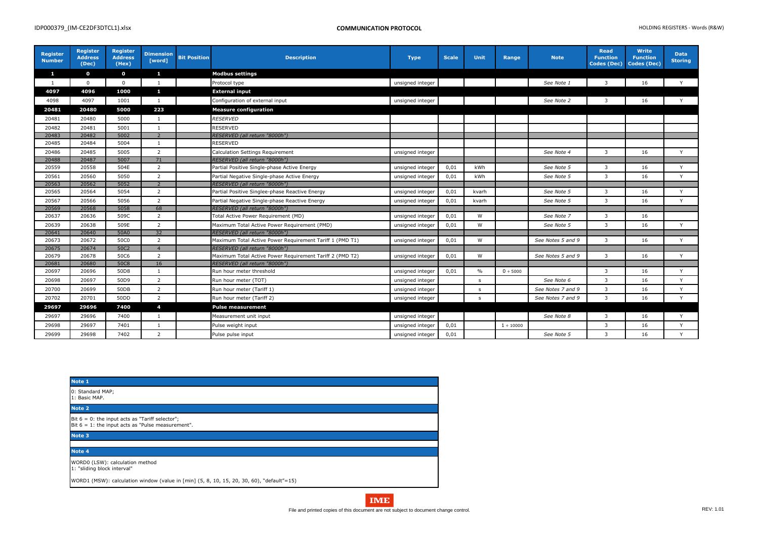| Register<br><b>Number</b> | <b>Register</b><br><b>Address</b><br>(Dec) | <b>Register</b><br><b>Address</b><br>(Hex) | <b>Dimension</b><br>[word] | <b>Bit Position</b> | <b>Description</b>                                       | <b>Type</b>      | <b>Scale</b> | <b>Unit</b>  | Range          | <b>Note</b>       | <b>Read</b><br><b>Function</b><br>Codes (Dec) | <b>Write</b><br><b>Function</b><br>Codes (Dec) | <b>Data</b><br><b>Storing</b> |
|---------------------------|--------------------------------------------|--------------------------------------------|----------------------------|---------------------|----------------------------------------------------------|------------------|--------------|--------------|----------------|-------------------|-----------------------------------------------|------------------------------------------------|-------------------------------|
| $\mathbf{1}$              | $\mathbf{o}$                               | $\mathbf 0$                                | $\mathbf{1}$               |                     | <b>Modbus settings</b>                                   |                  |              |              |                |                   |                                               |                                                |                               |
| $\mathbf{1}$              | $\mathbf{0}$                               | $\Omega$                                   | $\overline{1}$             |                     | Protocol type                                            | unsigned integer |              |              |                | See Note 1        | $\mathbf{3}$                                  | 16                                             | Y                             |
| 4097                      | 4096                                       | 1000                                       | $\mathbf{1}$               |                     | <b>External input</b>                                    |                  |              |              |                |                   |                                               |                                                |                               |
| 4098                      | 4097                                       | 1001                                       | 1                          |                     | Configuration of external input                          | unsigned integer |              |              |                | See Note 2        | 3                                             | 16                                             | Y                             |
| 20481                     | 20480                                      | 5000                                       | 223                        |                     | <b>Measure configuration</b>                             |                  |              |              |                |                   |                                               |                                                |                               |
| 20481                     | 20480                                      | 5000                                       | $\mathbf{1}$               |                     | <b>RESERVED</b>                                          |                  |              |              |                |                   |                                               |                                                |                               |
| 20482                     | 20481                                      | 5001                                       | $\mathbf{1}$               |                     | RESERVED                                                 |                  |              |              |                |                   |                                               |                                                |                               |
| 20483                     | 20482                                      | 5002                                       | $\overline{2}$             |                     | RESERVED (all return "8000h")                            |                  |              |              |                |                   |                                               |                                                |                               |
| 20485                     | 20484                                      | 5004                                       | $\mathbf{1}$               |                     | RESERVED                                                 |                  |              |              |                |                   |                                               |                                                |                               |
| 20486                     | 20485                                      | 5005                                       | $\overline{2}$             |                     | Calculation Settings Requirement                         | unsigned integer |              |              |                | See Note 4        | $\mathbf{3}$                                  | 16                                             | Y                             |
| 20488                     | 20487                                      | 5007                                       | 71                         |                     | RESERVED (all return "8000h")                            |                  |              |              |                |                   |                                               |                                                |                               |
| 20559                     | 20558                                      | 504E                                       | $\overline{2}$             |                     | Partial Positive Single-phase Active Energy              | unsigned integer | 0,01         | kWh          |                | See Note 5        | 3                                             | 16                                             | $\vee$                        |
| 20561                     | 20560                                      | 5050                                       | $\overline{2}$             |                     | Partial Negative Single-phase Active Energy              | unsigned integer | 0,01         | kWh          |                | See Note 5        | $\mathbf{3}$                                  | 16                                             | Y                             |
| 20563                     | 20562                                      | 5052                                       | 2                          |                     | RESERVED (all return "8000h")                            |                  |              |              |                |                   |                                               |                                                |                               |
| 20565                     | 20564                                      | 5054                                       | 2                          |                     | Partial Positive Singlee-phase Reactive Energy           | unsigned integer | 0,01         | kvarh        |                | See Note 5        | 3                                             | 16                                             | Y                             |
| 20567                     | 20566                                      | 5056                                       | $\overline{2}$             |                     | Partial Negative Single-phase Reactive Energy            | unsigned integer | 0,01         | kvarh        |                | See Note 5        | 3                                             | 16                                             | Y                             |
| 20569                     | 20568                                      | 5058                                       | 68                         |                     | RESERVED (all return "8000h")                            |                  |              |              |                |                   |                                               |                                                |                               |
| 20637                     | 20636                                      | 509C                                       | $\overline{2}$             |                     | Total Active Power Requirement (MD)                      | unsigned integer | 0,01         | W            |                | See Note 7        | 3                                             | 16                                             |                               |
| 20639                     | 20638                                      | 509E                                       | $\overline{2}$             |                     | Maximum Total Active Power Requirement (PMD)             | unsigned integer | 0,01         | W            |                | See Note 5        | $\mathbf{3}$                                  | 16                                             | Y                             |
| 20641                     | 20640                                      | 50A0                                       | 32                         |                     | RESERVED (all return "8000h")                            |                  |              |              |                |                   |                                               |                                                |                               |
| 20673                     | 20672                                      | 50C0                                       | $\overline{2}$             |                     | Maximum Total Active Power Requirement Tariff 1 (PMD T1) | unsigned integer | 0,01         | W            |                | See Notes 5 and 9 | 3                                             | 16                                             | Y                             |
| 20675                     | 20674                                      | 50C2                                       | $\overline{4}$             |                     | RESERVED (all return "8000h")                            |                  |              |              |                |                   |                                               |                                                |                               |
| 20679                     | 20678                                      | <b>50C6</b>                                | $\overline{2}$             |                     | Maximum Total Active Power Requirement Tariff 2 (PMD T2) | unsigned integer | 0,01         | W            |                | See Notes 5 and 9 | 3                                             | 16                                             | Y                             |
| 20681                     | 20680                                      | 50C8                                       | 16                         |                     | RESERVED (all return "8000h")                            |                  |              |              |                |                   |                                               |                                                |                               |
| 20697                     | 20696                                      | 50D8                                       | $\mathbf{1}$               |                     | Run hour meter threshold                                 | unsigned integer | 0,01         | $\%$         | 0 ÷ 5000       |                   | 3                                             | 16                                             | Y                             |
| 20698                     | 20697                                      | 50D9                                       | 2                          |                     | Run hour meter (TOT)                                     | unsigned integer |              | s            |                | See Note 6        | 3                                             | 16                                             | $\mathsf{v}$                  |
| 20700                     | 20699                                      | 50DB                                       | 2                          |                     | Run hour meter (Tariff 1)                                | unsigned integer |              | $\mathsf{s}$ |                | See Notes 7 and 9 | $\mathbf{3}$                                  | 16                                             | Y                             |
| 20702                     | 20701                                      | 50DD                                       | $\overline{2}$             |                     | Run hour meter (Tariff 2)                                | unsigned integer |              | $\mathsf{s}$ |                | See Notes 7 and 9 | $\mathbf{3}$                                  | 16                                             | Y                             |
| 29697                     | 29696                                      | 7400                                       | $\overline{4}$             |                     | <b>Pulse measurement</b>                                 |                  |              |              |                |                   |                                               |                                                |                               |
| 29697                     | 29696                                      | 7400                                       | $\mathbf{1}$               |                     | Measurement unit input                                   | unsigned integer |              |              |                | See Note 8        | 3                                             | 16                                             | Y                             |
| 29698                     | 29697                                      | 7401                                       | $\mathbf{1}$               |                     | Pulse weight input                                       | unsigned integer | 0,01         |              | $1 \div 10000$ |                   | 3                                             | 16                                             | Y                             |
| 29699                     | 29698                                      | 7402                                       | $\overline{2}$             |                     | Pulse pulse input                                        | unsigned integer | 0,01         |              |                | See Note 5        | 3                                             | 16                                             | Y                             |

| Note 1                                                                                                     |
|------------------------------------------------------------------------------------------------------------|
| 0: Standard MAP;<br>1: Basic MAP.                                                                          |
| Note 2                                                                                                     |
| Bit $6 = 0$ : the input acts as "Tariff selector";<br>Bit $6 = 1$ : the input acts as "Pulse measurement". |
| Note 3                                                                                                     |
|                                                                                                            |
| Note 4                                                                                                     |
| WORD0 (LSW): calculation method<br>1: "sliding block interval"                                             |
| WORD1 (MSW): calculation window (value in [min] $(5, 8, 10, 15, 20, 30, 60)$ , "default"=15)               |